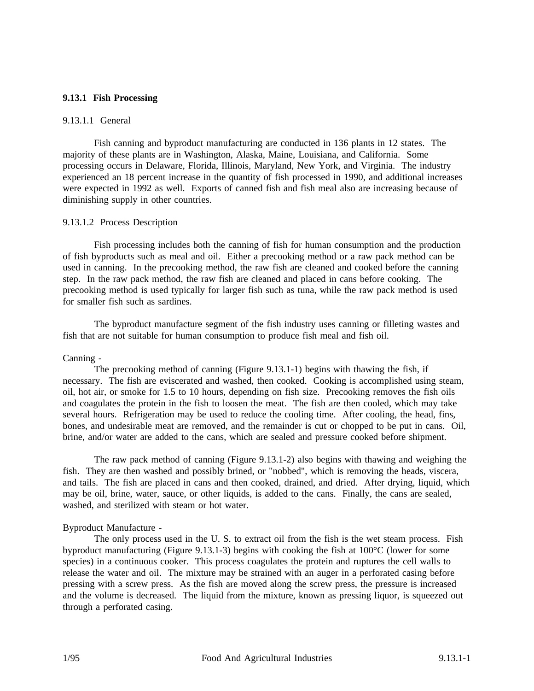# **9.13.1 Fish Processing**

# 9.13.1.1 General

Fish canning and byproduct manufacturing are conducted in 136 plants in 12 states. The majority of these plants are in Washington, Alaska, Maine, Louisiana, and California. Some processing occurs in Delaware, Florida, Illinois, Maryland, New York, and Virginia. The industry experienced an 18 percent increase in the quantity of fish processed in 1990, and additional increases were expected in 1992 as well. Exports of canned fish and fish meal also are increasing because of diminishing supply in other countries.

#### 9.13.1.2 Process Description

Fish processing includes both the canning of fish for human consumption and the production of fish byproducts such as meal and oil. Either a precooking method or a raw pack method can be used in canning. In the precooking method, the raw fish are cleaned and cooked before the canning step. In the raw pack method, the raw fish are cleaned and placed in cans before cooking. The precooking method is used typically for larger fish such as tuna, while the raw pack method is used for smaller fish such as sardines.

The byproduct manufacture segment of the fish industry uses canning or filleting wastes and fish that are not suitable for human consumption to produce fish meal and fish oil.

#### Canning -

The precooking method of canning (Figure 9.13.1-1) begins with thawing the fish, if necessary. The fish are eviscerated and washed, then cooked. Cooking is accomplished using steam, oil, hot air, or smoke for 1.5 to 10 hours, depending on fish size. Precooking removes the fish oils and coagulates the protein in the fish to loosen the meat. The fish are then cooled, which may take several hours. Refrigeration may be used to reduce the cooling time. After cooling, the head, fins, bones, and undesirable meat are removed, and the remainder is cut or chopped to be put in cans. Oil, brine, and/or water are added to the cans, which are sealed and pressure cooked before shipment.

The raw pack method of canning (Figure 9.13.1-2) also begins with thawing and weighing the fish. They are then washed and possibly brined, or "nobbed", which is removing the heads, viscera, and tails. The fish are placed in cans and then cooked, drained, and dried. After drying, liquid, which may be oil, brine, water, sauce, or other liquids, is added to the cans. Finally, the cans are sealed, washed, and sterilized with steam or hot water.

### Byproduct Manufacture -

The only process used in the U. S. to extract oil from the fish is the wet steam process. Fish byproduct manufacturing (Figure 9.13.1-3) begins with cooking the fish at 100°C (lower for some species) in a continuous cooker. This process coagulates the protein and ruptures the cell walls to release the water and oil. The mixture may be strained with an auger in a perforated casing before pressing with a screw press. As the fish are moved along the screw press, the pressure is increased and the volume is decreased. The liquid from the mixture, known as pressing liquor, is squeezed out through a perforated casing.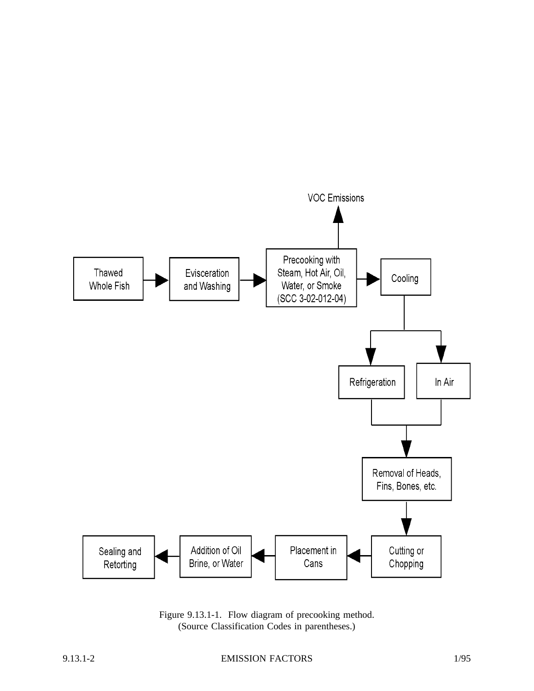

Figure 9.13.1-1. Flow diagram of precooking method. (Source Classification Codes in parentheses.)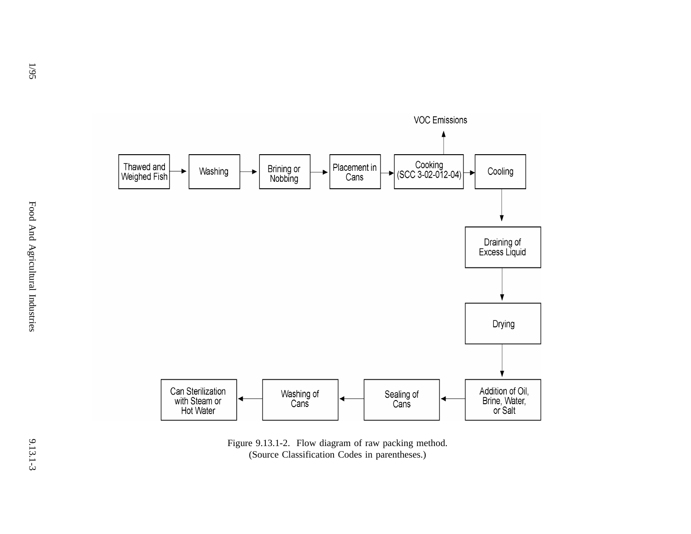

Figure 9.13.1-2. Flow diagram of raw packing method. (Source Classification Codes in parentheses.)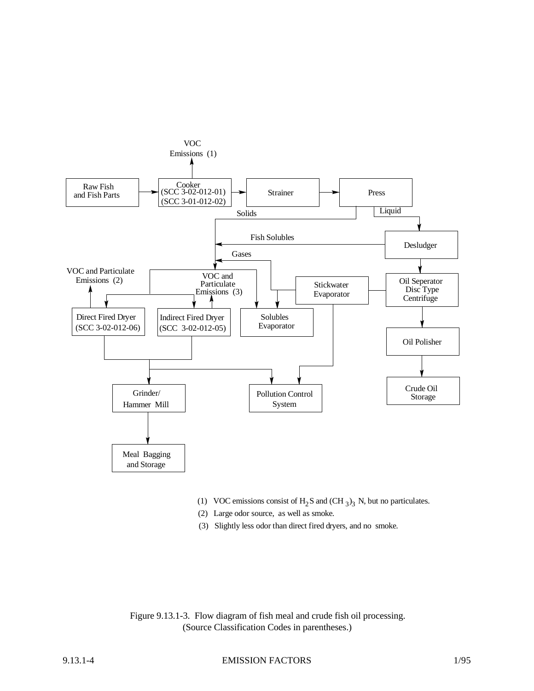

- (1) VOC emissions consist of  $H_2S$  and (CH  $_3$ )<sub>3</sub> N, but no particulates.
- (2) Large odor source, as well as smoke.
- (3) Slightly less odor than direct fired dryers, and no smoke.

Figure 9.13.1-3. Flow diagram of fish meal and crude fish oil processing. (Source Classification Codes in parentheses.)

## 9.13.1-4 EMISSION FACTORS 1/95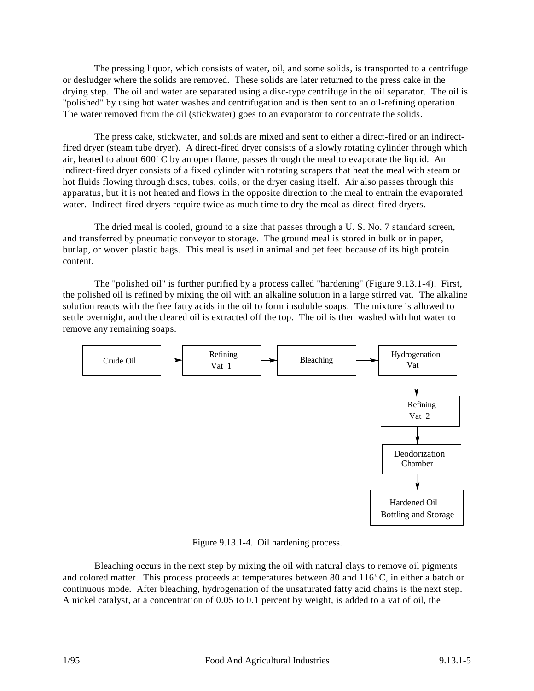The pressing liquor, which consists of water, oil, and some solids, is transported to a centrifuge or desludger where the solids are removed. These solids are later returned to the press cake in the drying step. The oil and water are separated using a disc-type centrifuge in the oil separator. The oil is "polished" by using hot water washes and centrifugation and is then sent to an oil-refining operation. The water removed from the oil (stickwater) goes to an evaporator to concentrate the solids.

The press cake, stickwater, and solids are mixed and sent to either a direct-fired or an indirectfired dryer (steam tube dryer). A direct-fired dryer consists of a slowly rotating cylinder through which air, heated to about  $600^{\circ}$ C by an open flame, passes through the meal to evaporate the liquid. An indirect-fired dryer consists of a fixed cylinder with rotating scrapers that heat the meal with steam or hot fluids flowing through discs, tubes, coils, or the dryer casing itself. Air also passes through this apparatus, but it is not heated and flows in the opposite direction to the meal to entrain the evaporated water. Indirect-fired dryers require twice as much time to dry the meal as direct-fired dryers.

The dried meal is cooled, ground to a size that passes through a U. S. No. 7 standard screen, and transferred by pneumatic conveyor to storage. The ground meal is stored in bulk or in paper, burlap, or woven plastic bags. This meal is used in animal and pet feed because of its high protein content.

The "polished oil" is further purified by a process called "hardening" (Figure 9.13.1-4). First, the polished oil is refined by mixing the oil with an alkaline solution in a large stirred vat. The alkaline solution reacts with the free fatty acids in the oil to form insoluble soaps. The mixture is allowed to settle overnight, and the cleared oil is extracted off the top. The oil is then washed with hot water to remove any remaining soaps.



Figure 9.13.1-4. Oil hardening process.

Bleaching occurs in the next step by mixing the oil with natural clays to remove oil pigments and colored matter. This process proceeds at temperatures between 80 and  $116^{\circ}$ C, in either a batch or continuous mode. After bleaching, hydrogenation of the unsaturated fatty acid chains is the next step. A nickel catalyst, at a concentration of 0.05 to 0.1 percent by weight, is added to a vat of oil, the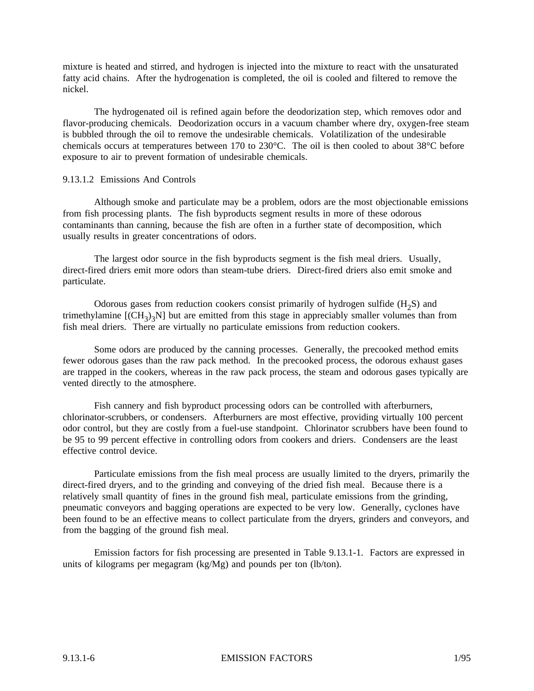mixture is heated and stirred, and hydrogen is injected into the mixture to react with the unsaturated fatty acid chains. After the hydrogenation is completed, the oil is cooled and filtered to remove the nickel.

The hydrogenated oil is refined again before the deodorization step, which removes odor and flavor-producing chemicals. Deodorization occurs in a vacuum chamber where dry, oxygen-free steam is bubbled through the oil to remove the undesirable chemicals. Volatilization of the undesirable chemicals occurs at temperatures between 170 to 230°C. The oil is then cooled to about 38°C before exposure to air to prevent formation of undesirable chemicals.

# 9.13.1.2 Emissions And Controls

Although smoke and particulate may be a problem, odors are the most objectionable emissions from fish processing plants. The fish byproducts segment results in more of these odorous contaminants than canning, because the fish are often in a further state of decomposition, which usually results in greater concentrations of odors.

The largest odor source in the fish byproducts segment is the fish meal driers. Usually, direct-fired driers emit more odors than steam-tube driers. Direct-fired driers also emit smoke and particulate.

Odorous gases from reduction cookers consist primarily of hydrogen sulfide  $(H_2S)$  and trimethylamine  $[(CH_3)_3N]$  but are emitted from this stage in appreciably smaller volumes than from fish meal driers. There are virtually no particulate emissions from reduction cookers.

Some odors are produced by the canning processes. Generally, the precooked method emits fewer odorous gases than the raw pack method. In the precooked process, the odorous exhaust gases are trapped in the cookers, whereas in the raw pack process, the steam and odorous gases typically are vented directly to the atmosphere.

Fish cannery and fish byproduct processing odors can be controlled with afterburners, chlorinator-scrubbers, or condensers. Afterburners are most effective, providing virtually 100 percent odor control, but they are costly from a fuel-use standpoint. Chlorinator scrubbers have been found to be 95 to 99 percent effective in controlling odors from cookers and driers. Condensers are the least effective control device.

Particulate emissions from the fish meal process are usually limited to the dryers, primarily the direct-fired dryers, and to the grinding and conveying of the dried fish meal. Because there is a relatively small quantity of fines in the ground fish meal, particulate emissions from the grinding, pneumatic conveyors and bagging operations are expected to be very low. Generally, cyclones have been found to be an effective means to collect particulate from the dryers, grinders and conveyors, and from the bagging of the ground fish meal.

Emission factors for fish processing are presented in Table 9.13.1-1. Factors are expressed in units of kilograms per megagram (kg/Mg) and pounds per ton (lb/ton).